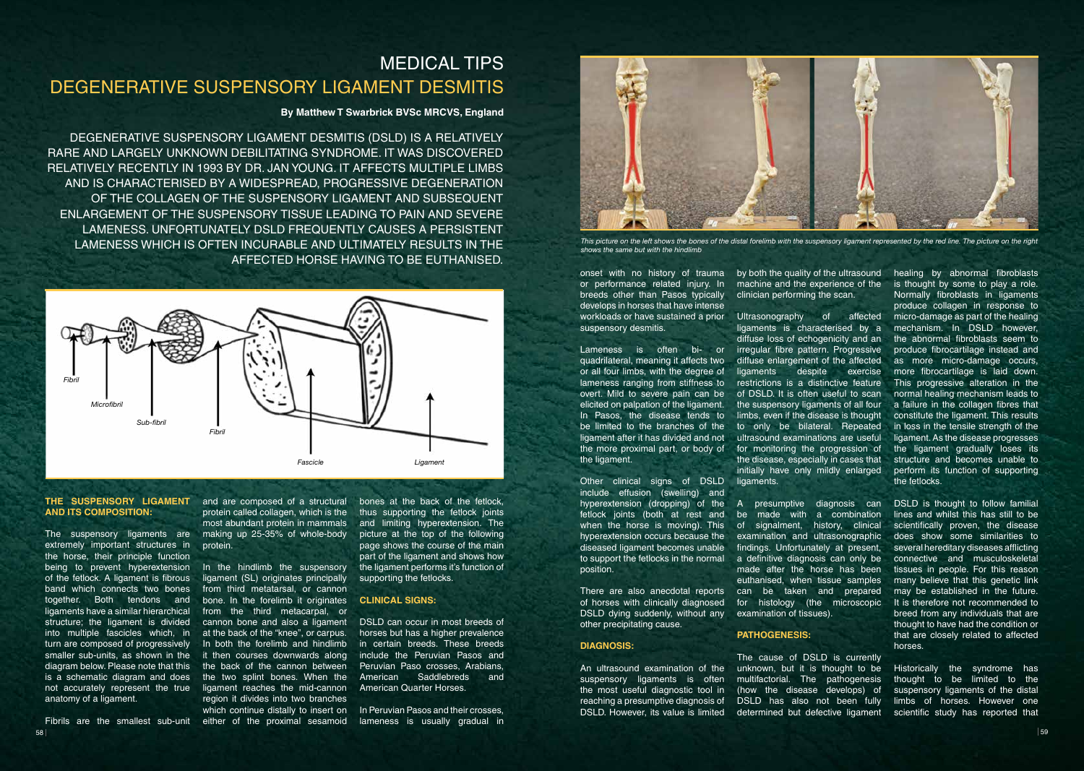#### **THE SUSPENSORY LIGAMENT**  and are composed of a structural **AND ITS COMPOSITION:**

The suspensory ligaments are extremely important structures in the horse, their principle function being to prevent hyperextension of the fetlock. A ligament is fibrous band which connects two bones together. Both tendons and ligaments have a similar hierarchical structure; the ligament is divided into multiple fascicles which, in turn are composed of progressively smaller sub-units, as shown in the diagram below. Please note that this is a schematic diagram and does not accurately represent the true anatomy of a ligament.

58 **59 The State of the State of the State of the State of the State of the State of the State of the State of the State of the State of the State of the State of the State of the State of the State of the State of the Sta** 

### **By Matthew T Swarbrick BVSc MRCVS, England**

# MEDICAL TIPS DEGENERATIVE SUSPENSORY LIGAMENT DESMITIS

protein called collagen, which is the most abundant protein in mammals making up 25-35% of whole-body protein.

DEGENERATIVE SUSPENSORY LIGAMENT DESMITIS (DSLD) IS A RELATIVELY RARE AND LARGELY UNKNOWN DEBILITATING SYNDROME. IT WAS DISCOVERED RELATIVELY RECENTLY IN 1993 BY DR. JAN YOUNG. IT AFFECTS MULTIPLE LIMBS AND IS CHARACTERISED BY A WIDESPREAD, PROGRESSIVE DEGENERATION OF THE COLLAGEN OF THE SUSPENSORY LIGAMENT AND SUBSEQUENT ENLARGEMENT OF THE SUSPENSORY TISSUE LEADING TO PAIN AND SEVERE LAMENESS. UNFORTUNATELY DSLD FREQUENTLY CAUSES A PERSISTENT LAMENESS WHICH IS OFTEN INCURABLE AND ULTIMATELY RESULTS IN THE AFFECTED HORSE HAVING TO BE EUTHANISED.

Fibrils are the smallest sub-unit either of the proximal sesamoid In the hindlimb the suspensory ligament (SL) originates principally from third metatarsal, or cannon bone. In the forelimb it originates from the third metacarpal, or cannon bone and also a ligament at the back of the "knee", or carpus. In both the forelimb and hindlimb it then courses downwards along the back of the cannon between the two splint bones. When the ligament reaches the mid-cannon region it divides into two branches which continue distally to insert on

bones at the back of the fetlock, thus supporting the fetlock joints and limiting hyperextension. The picture at the top of the following page shows the course of the main part of the ligament and shows how the ligament performs it's function of supporting the fetlocks.

#### **CLINICAL SIGNS:**

DSLD can occur in most breeds of horses but has a higher prevalence in certain breeds. These breeds include the Peruvian Pasos and Peruvian Paso crosses, Arabians, American Saddlebreds and American Quarter Horses.

In Peruvian Pasos and their crosses, lameness is usually gradual in onset with no history of trauma or performance related injury. In breeds other than Pasos typically develops in horses that have intense workloads or have sustained a prior suspensory desmitis.

Lameness is often bi- or quadrilateral, meaning it affects two or all four limbs, with the degree of lameness ranging from stiffness to overt. Mild to severe pain can be elicited on palpation of the ligament. In Pasos, the disease tends to be limited to the branches of the ligament after it has divided and not the more proximal part, or body of the ligament.

Other clinical signs of DSLD include effusion (swelling) and hyperextension (dropping) of the fetlock joints (both at rest and when the horse is moving). This hyperextension occurs because the diseased ligament becomes unable to support the fetlocks in the normal position.

There are also anecdotal reports of horses with clinically diagnosed DSLD dying suddenly, without any other precipitating cause.

#### **DIAGNOSIS:**

An ultrasound examination of the suspensory ligaments is often the most useful diagnostic tool in reaching a presumptive diagnosis of DSLD. However, its value is limited by both the quality of the ultrasound clinician performing the scan.

Ultrasonography of affected ligaments is characterised by a diffuse loss of echogenicity and an irregular fibre pattern. Progressive diffuse enlargement of the affected ligaments despite exercise restrictions is a distinctive feature of DSLD. It is often useful to scan the suspensory ligaments of all four limbs, even if the disease is thought to only be bilateral. Repeated ultrasound examinations are useful for monitoring the progression of the disease, especially in cases that initially have only mildly enlarged ligaments.

A presumptive diagnosis can be made with a combination of signalment, history, clinical examination and ultrasonographic findings. Unfortunately at present, a definitive diagnosis can only be made after the horse has been euthanised, when tissue samples can be taken and prepared for histology (the microscopic examination of tissues).

machine and the experience of the is thought by some to play a role. healing by abnormal fibroblasts Normally fibroblasts in ligaments produce collagen in response to micro-damage as part of the healing mechanism. In DSLD however, the abnormal fibroblasts seem to produce fibrocartilage instead and as more micro-damage occurs, more fibrocartilage is laid down. This progressive alteration in the normal healing mechanism leads to a failure in the collagen fibres that constitute the ligament. This results in loss in the tensile strength of the ligament. As the disease progresses the ligament gradually loses its structure and becomes unable to perform its function of supporting the fetlocks.

## **PATHOGENESIS:**

The cause of DSLD is currently unknown, but it is thought to be multifactorial. The pathogenesis (how the disease develops) of DSLD has also not been fully determined but defective ligament scientific study has reported that

DSLD is thought to follow familial lines and whilst this has still to be scientifically proven, the disease does show some similarities to several hereditary diseases afflicting connective and musculoskeletal tissues in people. For this reason many believe that this genetic link may be established in the future. It is therefore not recommended to breed from any individuals that are thought to have had the condition or that are closely related to affected horses.

Historically the syndrome has thought to be limited to the suspensory ligaments of the distal limbs of horses. However one



*This picture on the left shows the bones of the distal forelimb with the suspensory ligament represented by the red line. The picture on the right shows the same but with the hindlimb*